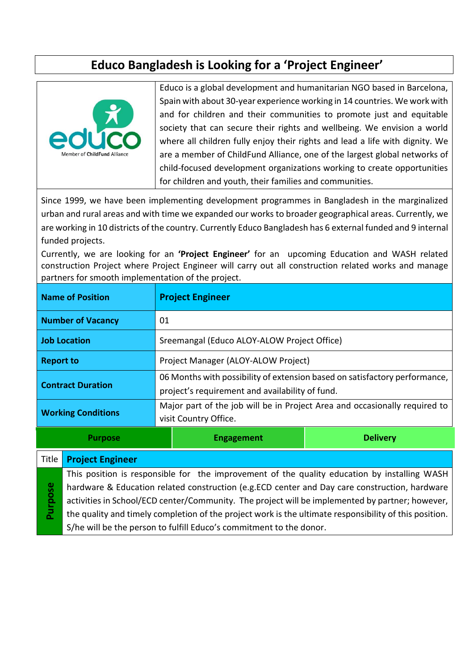# **Educo Bangladesh is Looking for a 'Project Engineer'**



Educo is a global development and humanitarian NGO based in Barcelona, Spain with about 30-year experience working in 14 countries. We work with and for children and their communities to promote just and equitable society that can secure their rights and wellbeing. We envision a world where all children fully enjoy their rights and lead a life with dignity. We are a member of ChildFund Alliance, one of the largest global networks of child-focused development organizations working to create opportunities for children and youth, their families and communities.

Since 1999, we have been implementing development programmes in Bangladesh in the marginalized urban and rural areas and with time we expanded our works to broader geographical areas. Currently, we are working in 10 districts of the country. Currently Educo Bangladesh has 6 external funded and 9 internal funded projects.

Currently, we are looking for an **'Project Engineer'** for an upcoming Education and WASH related construction Project where Project Engineer will carry out all construction related works and manage partners for smooth implementation of the project.

| <b>Name of Position</b>   |                                                                                                        | <b>Project Engineer</b>                                                                                                       |                 |  |
|---------------------------|--------------------------------------------------------------------------------------------------------|-------------------------------------------------------------------------------------------------------------------------------|-----------------|--|
| <b>Number of Vacancy</b>  |                                                                                                        | 01                                                                                                                            |                 |  |
| <b>Job Location</b>       |                                                                                                        | Sreemangal (Educo ALOY-ALOW Project Office)                                                                                   |                 |  |
| <b>Report to</b>          |                                                                                                        | Project Manager (ALOY-ALOW Project)                                                                                           |                 |  |
| <b>Contract Duration</b>  |                                                                                                        | 06 Months with possibility of extension based on satisfactory performance,<br>project's requirement and availability of fund. |                 |  |
| <b>Working Conditions</b> |                                                                                                        | Major part of the job will be in Project Area and occasionally required to<br>visit Country Office.                           |                 |  |
| <b>Purpose</b>            |                                                                                                        | <b>Engagement</b>                                                                                                             | <b>Delivery</b> |  |
| Title                     | <b>Project Engineer</b>                                                                                |                                                                                                                               |                 |  |
|                           | This position is responsible for the improvement of the quality education by installing WASH           |                                                                                                                               |                 |  |
|                           | hardware & Education related construction (e.g.ECD center and Day care construction, hardware          |                                                                                                                               |                 |  |
| Purpose                   | activities in School/ECD center/Community. The project will be implemented by partner; however,        |                                                                                                                               |                 |  |
|                           | the quality and timely completion of the project work is the ultimate responsibility of this position. |                                                                                                                               |                 |  |

the quality and timely completion of the project work is the ultimate responsibility of this position. S/he will be the person to fulfill Educo's commitment to the donor.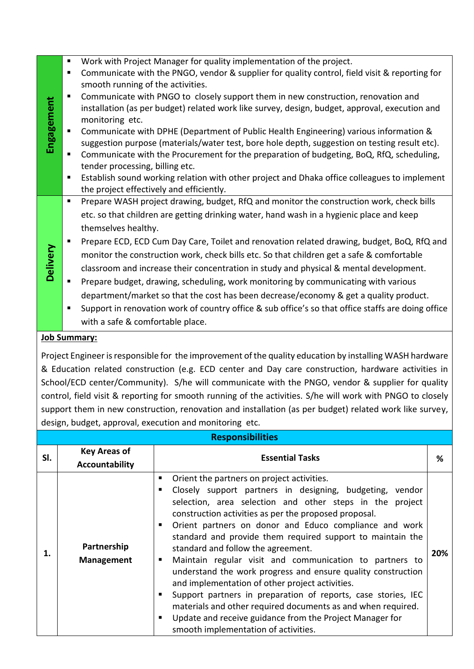| Work with Project Manager for quality implementation of the project.<br>ш<br>Communicate with the PNGO, vendor & supplier for quality control, field visit & reporting for<br>٠<br>smooth running of the activities.<br>Communicate with PNGO to closely support them in new construction, renovation and<br>п<br>Engagement<br>installation (as per budget) related work like survey, design, budget, approval, execution and<br>monitoring etc.<br>Communicate with DPHE (Department of Public Health Engineering) various information &<br>suggestion purpose (materials/water test, bore hole depth, suggestion on testing result etc).<br>Communicate with the Procurement for the preparation of budgeting, BoQ, RfQ, scheduling,<br>п<br>tender processing, billing etc.<br>Establish sound working relation with other project and Dhaka office colleagues to implement<br>п<br>the project effectively and efficiently.<br>Prepare WASH project drawing, budget, RfQ and monitor the construction work, check bills<br>ш<br>etc. so that children are getting drinking water, hand wash in a hygienic place and keep<br>themselves healthy.<br>Prepare ECD, ECD Cum Day Care, Toilet and renovation related drawing, budget, BoQ, RfQ and<br>٠<br><b>Delivery</b><br>monitor the construction work, check bills etc. So that children get a safe & comfortable<br>classroom and increase their concentration in study and physical & mental development.<br>Prepare budget, drawing, scheduling, work monitoring by communicating with various<br>٠<br>department/market so that the cost has been decrease/economy & get a quality product.<br>Support in renovation work of country office & sub office's so that office staffs are doing office<br>п<br>with a safe & comfortable place. |  |  |
|------------------------------------------------------------------------------------------------------------------------------------------------------------------------------------------------------------------------------------------------------------------------------------------------------------------------------------------------------------------------------------------------------------------------------------------------------------------------------------------------------------------------------------------------------------------------------------------------------------------------------------------------------------------------------------------------------------------------------------------------------------------------------------------------------------------------------------------------------------------------------------------------------------------------------------------------------------------------------------------------------------------------------------------------------------------------------------------------------------------------------------------------------------------------------------------------------------------------------------------------------------------------------------------------------------------------------------------------------------------------------------------------------------------------------------------------------------------------------------------------------------------------------------------------------------------------------------------------------------------------------------------------------------------------------------------------------------------------------------------------------------------------------------------------------|--|--|
|                                                                                                                                                                                                                                                                                                                                                                                                                                                                                                                                                                                                                                                                                                                                                                                                                                                                                                                                                                                                                                                                                                                                                                                                                                                                                                                                                                                                                                                                                                                                                                                                                                                                                                                                                                                                      |  |  |
|                                                                                                                                                                                                                                                                                                                                                                                                                                                                                                                                                                                                                                                                                                                                                                                                                                                                                                                                                                                                                                                                                                                                                                                                                                                                                                                                                                                                                                                                                                                                                                                                                                                                                                                                                                                                      |  |  |
|                                                                                                                                                                                                                                                                                                                                                                                                                                                                                                                                                                                                                                                                                                                                                                                                                                                                                                                                                                                                                                                                                                                                                                                                                                                                                                                                                                                                                                                                                                                                                                                                                                                                                                                                                                                                      |  |  |
|                                                                                                                                                                                                                                                                                                                                                                                                                                                                                                                                                                                                                                                                                                                                                                                                                                                                                                                                                                                                                                                                                                                                                                                                                                                                                                                                                                                                                                                                                                                                                                                                                                                                                                                                                                                                      |  |  |
|                                                                                                                                                                                                                                                                                                                                                                                                                                                                                                                                                                                                                                                                                                                                                                                                                                                                                                                                                                                                                                                                                                                                                                                                                                                                                                                                                                                                                                                                                                                                                                                                                                                                                                                                                                                                      |  |  |
|                                                                                                                                                                                                                                                                                                                                                                                                                                                                                                                                                                                                                                                                                                                                                                                                                                                                                                                                                                                                                                                                                                                                                                                                                                                                                                                                                                                                                                                                                                                                                                                                                                                                                                                                                                                                      |  |  |
|                                                                                                                                                                                                                                                                                                                                                                                                                                                                                                                                                                                                                                                                                                                                                                                                                                                                                                                                                                                                                                                                                                                                                                                                                                                                                                                                                                                                                                                                                                                                                                                                                                                                                                                                                                                                      |  |  |
|                                                                                                                                                                                                                                                                                                                                                                                                                                                                                                                                                                                                                                                                                                                                                                                                                                                                                                                                                                                                                                                                                                                                                                                                                                                                                                                                                                                                                                                                                                                                                                                                                                                                                                                                                                                                      |  |  |
|                                                                                                                                                                                                                                                                                                                                                                                                                                                                                                                                                                                                                                                                                                                                                                                                                                                                                                                                                                                                                                                                                                                                                                                                                                                                                                                                                                                                                                                                                                                                                                                                                                                                                                                                                                                                      |  |  |
|                                                                                                                                                                                                                                                                                                                                                                                                                                                                                                                                                                                                                                                                                                                                                                                                                                                                                                                                                                                                                                                                                                                                                                                                                                                                                                                                                                                                                                                                                                                                                                                                                                                                                                                                                                                                      |  |  |
|                                                                                                                                                                                                                                                                                                                                                                                                                                                                                                                                                                                                                                                                                                                                                                                                                                                                                                                                                                                                                                                                                                                                                                                                                                                                                                                                                                                                                                                                                                                                                                                                                                                                                                                                                                                                      |  |  |
|                                                                                                                                                                                                                                                                                                                                                                                                                                                                                                                                                                                                                                                                                                                                                                                                                                                                                                                                                                                                                                                                                                                                                                                                                                                                                                                                                                                                                                                                                                                                                                                                                                                                                                                                                                                                      |  |  |
|                                                                                                                                                                                                                                                                                                                                                                                                                                                                                                                                                                                                                                                                                                                                                                                                                                                                                                                                                                                                                                                                                                                                                                                                                                                                                                                                                                                                                                                                                                                                                                                                                                                                                                                                                                                                      |  |  |
|                                                                                                                                                                                                                                                                                                                                                                                                                                                                                                                                                                                                                                                                                                                                                                                                                                                                                                                                                                                                                                                                                                                                                                                                                                                                                                                                                                                                                                                                                                                                                                                                                                                                                                                                                                                                      |  |  |
|                                                                                                                                                                                                                                                                                                                                                                                                                                                                                                                                                                                                                                                                                                                                                                                                                                                                                                                                                                                                                                                                                                                                                                                                                                                                                                                                                                                                                                                                                                                                                                                                                                                                                                                                                                                                      |  |  |
|                                                                                                                                                                                                                                                                                                                                                                                                                                                                                                                                                                                                                                                                                                                                                                                                                                                                                                                                                                                                                                                                                                                                                                                                                                                                                                                                                                                                                                                                                                                                                                                                                                                                                                                                                                                                      |  |  |
|                                                                                                                                                                                                                                                                                                                                                                                                                                                                                                                                                                                                                                                                                                                                                                                                                                                                                                                                                                                                                                                                                                                                                                                                                                                                                                                                                                                                                                                                                                                                                                                                                                                                                                                                                                                                      |  |  |
|                                                                                                                                                                                                                                                                                                                                                                                                                                                                                                                                                                                                                                                                                                                                                                                                                                                                                                                                                                                                                                                                                                                                                                                                                                                                                                                                                                                                                                                                                                                                                                                                                                                                                                                                                                                                      |  |  |
|                                                                                                                                                                                                                                                                                                                                                                                                                                                                                                                                                                                                                                                                                                                                                                                                                                                                                                                                                                                                                                                                                                                                                                                                                                                                                                                                                                                                                                                                                                                                                                                                                                                                                                                                                                                                      |  |  |
|                                                                                                                                                                                                                                                                                                                                                                                                                                                                                                                                                                                                                                                                                                                                                                                                                                                                                                                                                                                                                                                                                                                                                                                                                                                                                                                                                                                                                                                                                                                                                                                                                                                                                                                                                                                                      |  |  |
|                                                                                                                                                                                                                                                                                                                                                                                                                                                                                                                                                                                                                                                                                                                                                                                                                                                                                                                                                                                                                                                                                                                                                                                                                                                                                                                                                                                                                                                                                                                                                                                                                                                                                                                                                                                                      |  |  |
|                                                                                                                                                                                                                                                                                                                                                                                                                                                                                                                                                                                                                                                                                                                                                                                                                                                                                                                                                                                                                                                                                                                                                                                                                                                                                                                                                                                                                                                                                                                                                                                                                                                                                                                                                                                                      |  |  |

#### **Job Summary:**

Project Engineer is responsible for the improvement of the quality education by installing WASH hardware & Education related construction (e.g. ECD center and Day care construction, hardware activities in School/ECD center/Community). S/he will communicate with the PNGO, vendor & supplier for quality control, field visit & reporting for smooth running of the activities. S/he will work with PNGO to closely support them in new construction, renovation and installation (as per budget) related work like survey, design, budget, approval, execution and monitoring etc.

| <b>Responsibilities</b> |                                       |                                                                                                                                                                                                                                                                                                                                                                                                                                                                                                                                                                                                                                                                                                                                                                                                                        |     |  |  |  |
|-------------------------|---------------------------------------|------------------------------------------------------------------------------------------------------------------------------------------------------------------------------------------------------------------------------------------------------------------------------------------------------------------------------------------------------------------------------------------------------------------------------------------------------------------------------------------------------------------------------------------------------------------------------------------------------------------------------------------------------------------------------------------------------------------------------------------------------------------------------------------------------------------------|-----|--|--|--|
| SI.                     | <b>Key Areas of</b><br>Accountability | <b>Essential Tasks</b>                                                                                                                                                                                                                                                                                                                                                                                                                                                                                                                                                                                                                                                                                                                                                                                                 | ℅   |  |  |  |
| 1.                      | Partnership<br><b>Management</b>      | Orient the partners on project activities.<br>٠<br>Closely support partners in designing, budgeting, vendor<br>٠<br>selection, area selection and other steps in the project<br>construction activities as per the proposed proposal.<br>Orient partners on donor and Educo compliance and work<br>standard and provide them required support to maintain the<br>standard and follow the agreement.<br>Maintain regular visit and communication to partners to<br>understand the work progress and ensure quality construction<br>and implementation of other project activities.<br>Support partners in preparation of reports, case stories, IEC<br>materials and other required documents as and when required.<br>Update and receive guidance from the Project Manager for<br>smooth implementation of activities. | 20% |  |  |  |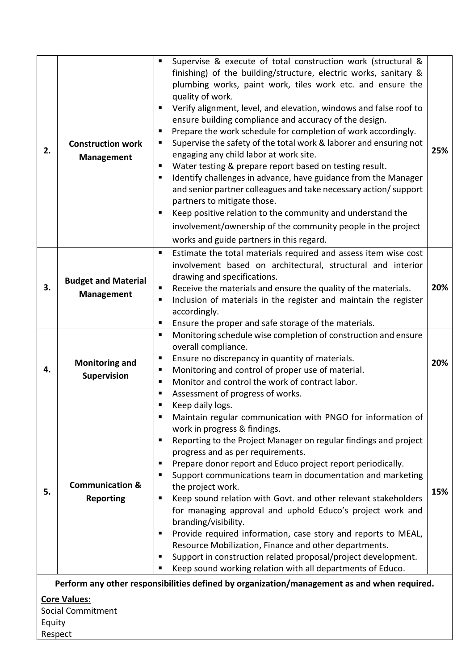| 2.                                                                                          | <b>Construction work</b><br><b>Management</b>   | Supervise & execute of total construction work (structural &<br>finishing) of the building/structure, electric works, sanitary &<br>plumbing works, paint work, tiles work etc. and ensure the<br>quality of work.<br>Verify alignment, level, and elevation, windows and false roof to<br>ensure building compliance and accuracy of the design.<br>Prepare the work schedule for completion of work accordingly.<br>п<br>Supervise the safety of the total work & laborer and ensuring not<br>п<br>engaging any child labor at work site.<br>Water testing & prepare report based on testing result.<br>ш<br>Identify challenges in advance, have guidance from the Manager<br>ш<br>and senior partner colleagues and take necessary action/ support<br>partners to mitigate those.<br>Keep positive relation to the community and understand the<br>ш<br>involvement/ownership of the community people in the project<br>works and guide partners in this regard. | 25% |  |  |
|---------------------------------------------------------------------------------------------|-------------------------------------------------|----------------------------------------------------------------------------------------------------------------------------------------------------------------------------------------------------------------------------------------------------------------------------------------------------------------------------------------------------------------------------------------------------------------------------------------------------------------------------------------------------------------------------------------------------------------------------------------------------------------------------------------------------------------------------------------------------------------------------------------------------------------------------------------------------------------------------------------------------------------------------------------------------------------------------------------------------------------------|-----|--|--|
| 3.                                                                                          | <b>Budget and Material</b><br><b>Management</b> | Estimate the total materials required and assess item wise cost<br>٠<br>involvement based on architectural, structural and interior<br>drawing and specifications.<br>Receive the materials and ensure the quality of the materials.<br>п<br>Inclusion of materials in the register and maintain the register<br>ш<br>accordingly.<br>Ensure the proper and safe storage of the materials.<br>п                                                                                                                                                                                                                                                                                                                                                                                                                                                                                                                                                                      | 20% |  |  |
| 4.                                                                                          | <b>Monitoring and</b><br>Supervision            | Monitoring schedule wise completion of construction and ensure<br>$\blacksquare$<br>overall compliance.<br>Ensure no discrepancy in quantity of materials.<br>п<br>Monitoring and control of proper use of material.<br>п<br>Monitor and control the work of contract labor.<br>п<br>Assessment of progress of works.<br>ш<br>Keep daily logs.<br>ш                                                                                                                                                                                                                                                                                                                                                                                                                                                                                                                                                                                                                  | 20% |  |  |
| 5.                                                                                          | <b>Communication &amp;</b><br><b>Reporting</b>  | Maintain regular communication with PNGO for information of<br>٠<br>work in progress & findings.<br>Reporting to the Project Manager on regular findings and project<br>ш<br>progress and as per requirements.<br>Prepare donor report and Educo project report periodically.<br>п<br>Support communications team in documentation and marketing<br>п<br>the project work.<br>Keep sound relation with Govt. and other relevant stakeholders<br>ш<br>for managing approval and uphold Educo's project work and<br>branding/visibility.<br>Provide required information, case story and reports to MEAL,<br>п<br>Resource Mobilization, Finance and other departments.<br>Support in construction related proposal/project development.<br>٠<br>Keep sound working relation with all departments of Educo.<br>ш                                                                                                                                                       | 15% |  |  |
| Perform any other responsibilities defined by organization/management as and when required. |                                                 |                                                                                                                                                                                                                                                                                                                                                                                                                                                                                                                                                                                                                                                                                                                                                                                                                                                                                                                                                                      |     |  |  |
| <b>Core Values:</b>                                                                         |                                                 |                                                                                                                                                                                                                                                                                                                                                                                                                                                                                                                                                                                                                                                                                                                                                                                                                                                                                                                                                                      |     |  |  |
|                                                                                             | <b>Social Commitment</b>                        |                                                                                                                                                                                                                                                                                                                                                                                                                                                                                                                                                                                                                                                                                                                                                                                                                                                                                                                                                                      |     |  |  |
| Equity<br>Respect                                                                           |                                                 |                                                                                                                                                                                                                                                                                                                                                                                                                                                                                                                                                                                                                                                                                                                                                                                                                                                                                                                                                                      |     |  |  |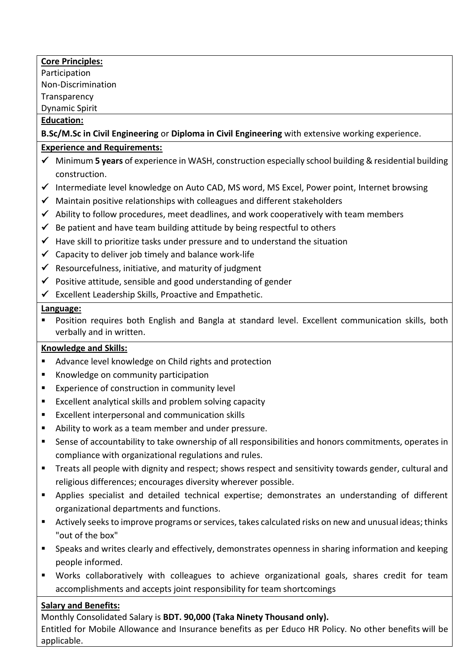#### **Core Principles:**

Participation Non-Discrimination

**Transparency** 

Dynamic Spirit

#### **Education:**

**B.Sc/M.Sc in Civil Engineering** or **Diploma in Civil Engineering** with extensive working experience.

#### **Experience and Requirements:**

- ✓ Minimum **5 years** of experience in WASH, construction especially school building & residential building construction.
- ✓ Intermediate level knowledge on Auto CAD, MS word, MS Excel, Power point, Internet browsing
- $\checkmark$  Maintain positive relationships with colleagues and different stakeholders
- $\checkmark$  Ability to follow procedures, meet deadlines, and work cooperatively with team members
- $\checkmark$  Be patient and have team building attitude by being respectful to others
- $\checkmark$  Have skill to prioritize tasks under pressure and to understand the situation
- $\checkmark$  Capacity to deliver job timely and balance work-life
- $\checkmark$  Resourcefulness, initiative, and maturity of judgment
- $\checkmark$  Positive attitude, sensible and good understanding of gender
- $\checkmark$  Excellent Leadership Skills, Proactive and Empathetic.

#### **Language:**

Position requires both English and Bangla at standard level. Excellent communication skills, both verbally and in written.

#### **Knowledge and Skills:**

- Advance level knowledge on Child rights and protection
- Knowledge on community participation
- Experience of construction in community level
- Excellent analytical skills and problem solving capacity
- Excellent interpersonal and communication skills
- Ability to work as a team member and under pressure.
- Sense of accountability to take ownership of all responsibilities and honors commitments, operates in compliance with organizational regulations and rules.
- Treats all people with dignity and respect; shows respect and sensitivity towards gender, cultural and religious differences; encourages diversity wherever possible.
- Applies specialist and detailed technical expertise; demonstrates an understanding of different organizational departments and functions.
- Actively seeks to improve programs or services, takes calculated risks on new and unusual ideas; thinks "out of the box"
- **•** Speaks and writes clearly and effectively, demonstrates openness in sharing information and keeping people informed.
- Works collaboratively with colleagues to achieve organizational goals, shares credit for team accomplishments and accepts joint responsibility for team shortcomings

## **Salary and Benefits:**

Monthly Consolidated Salary is **BDT. 90,000 (Taka Ninety Thousand only).**

Entitled for Mobile Allowance and Insurance benefits as per Educo HR Policy. No other benefits will be applicable.